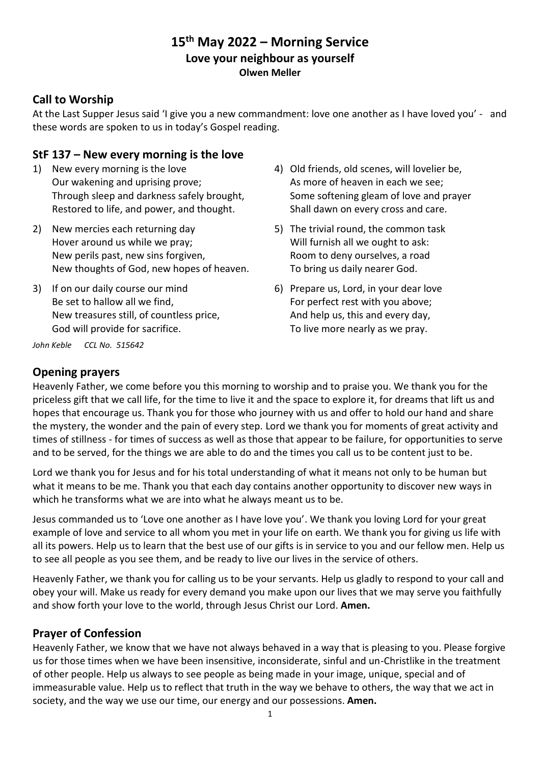# **15th May 2022 – Morning Service Love your neighbour as yourself Olwen Meller**

### **Call to Worship**

At the Last Supper Jesus said 'I give you a new commandment: love one another as I have loved you' - and these words are spoken to us in today's Gospel reading.

#### **StF 137 – New every morning is the love**

- 1) New every morning is the love Our wakening and uprising prove; Through sleep and darkness safely brought, Restored to life, and power, and thought.
- 2) New mercies each returning day Hover around us while we pray; New perils past, new sins forgiven, New thoughts of God, new hopes of heaven.
- 3) If on our daily course our mind Be set to hallow all we find, New treasures still, of countless price, God will provide for sacrifice.
- 4) Old friends, old scenes, will lovelier be, As more of heaven in each we see; Some softening gleam of love and prayer Shall dawn on every cross and care.
- 5) The trivial round, the common task Will furnish all we ought to ask: Room to deny ourselves, a road To bring us daily nearer God.
- 6) Prepare us, Lord, in your dear love For perfect rest with you above; And help us, this and every day, To live more nearly as we pray.

*John Keble CCL No. 515642*

### **Opening prayers**

Heavenly Father, we come before you this morning to worship and to praise you. We thank you for the priceless gift that we call life, for the time to live it and the space to explore it, for dreams that lift us and hopes that encourage us. Thank you for those who journey with us and offer to hold our hand and share the mystery, the wonder and the pain of every step. Lord we thank you for moments of great activity and times of stillness - for times of success as well as those that appear to be failure, for opportunities to serve and to be served, for the things we are able to do and the times you call us to be content just to be.

Lord we thank you for Jesus and for his total understanding of what it means not only to be human but what it means to be me. Thank you that each day contains another opportunity to discover new ways in which he transforms what we are into what he always meant us to be.

Jesus commanded us to 'Love one another as I have love you'. We thank you loving Lord for your great example of love and service to all whom you met in your life on earth. We thank you for giving us life with all its powers. Help us to learn that the best use of our gifts is in service to you and our fellow men. Help us to see all people as you see them, and be ready to live our lives in the service of others.

Heavenly Father, we thank you for calling us to be your servants. Help us gladly to respond to your call and obey your will. Make us ready for every demand you make upon our lives that we may serve you faithfully and show forth your love to the world, through Jesus Christ our Lord. **Amen.**

### **Prayer of Confession**

Heavenly Father, we know that we have not always behaved in a way that is pleasing to you. Please forgive us for those times when we have been insensitive, inconsiderate, sinful and un-Christlike in the treatment of other people. Help us always to see people as being made in your image, unique, special and of immeasurable value. Help us to reflect that truth in the way we behave to others, the way that we act in society, and the way we use our time, our energy and our possessions. **Amen.**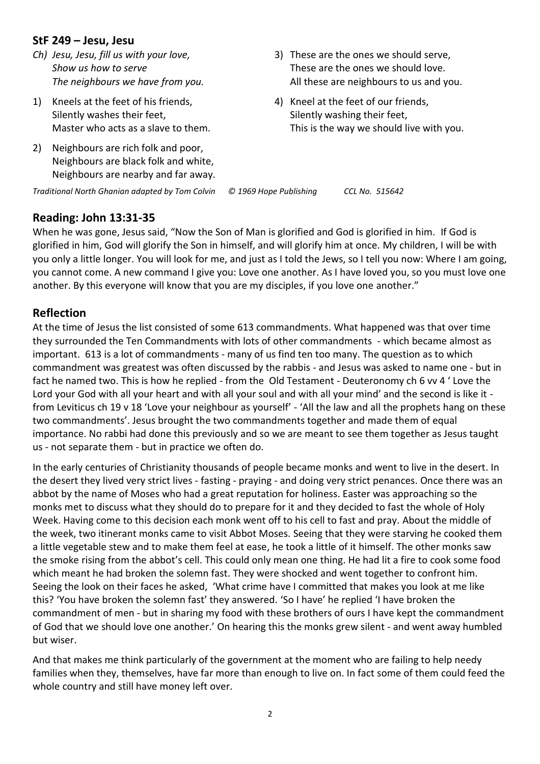### **StF 249 – Jesu, Jesu**

- *Ch) Jesu, Jesu, fill us with your love, Show us how to serve The neighbours we have from you.*
- 1) Kneels at the feet of his friends, Silently washes their feet, Master who acts as a slave to them.
- 2) Neighbours are rich folk and poor, Neighbours are black folk and white, Neighbours are nearby and far away.
- 3) These are the ones we should serve, These are the ones we should love. All these are neighbours to us and you.
- 4) Kneel at the feet of our friends, Silently washing their feet, This is the way we should live with you.

*Traditional North Ghanian adapted by Tom Colvin © 1969 Hope Publishing CCL No. 515642*

### **Reading: John 13:31-35**

When he was gone, Jesus said, "Now the Son of Man is glorified and God is glorified in him. If God is glorified in him, God will glorify the Son in himself, and will glorify him at once. My children, I will be with you only a little longer. You will look for me, and just as I told the Jews, so I tell you now: Where I am going, you cannot come. A new command I give you: Love one another. As I have loved you, so you must love one another. By this everyone will know that you are my disciples, if you love one another."

### **Reflection**

At the time of Jesus the list consisted of some 613 commandments. What happened was that over time they surrounded the Ten Commandments with lots of other commandments - which became almost as important. 613 is a lot of commandments - many of us find ten too many. The question as to which commandment was greatest was often discussed by the rabbis - and Jesus was asked to name one - but in fact he named two. This is how he replied - from the Old Testament - Deuteronomy ch 6 vv 4 ' Love the Lord your God with all your heart and with all your soul and with all your mind' and the second is like it from Leviticus ch 19 v 18 'Love your neighbour as yourself' - 'All the law and all the prophets hang on these two commandments'. Jesus brought the two commandments together and made them of equal importance. No rabbi had done this previously and so we are meant to see them together as Jesus taught us - not separate them - but in practice we often do.

In the early centuries of Christianity thousands of people became monks and went to live in the desert. In the desert they lived very strict lives - fasting - praying - and doing very strict penances. Once there was an abbot by the name of Moses who had a great reputation for holiness. Easter was approaching so the monks met to discuss what they should do to prepare for it and they decided to fast the whole of Holy Week. Having come to this decision each monk went off to his cell to fast and pray. About the middle of the week, two itinerant monks came to visit Abbot Moses. Seeing that they were starving he cooked them a little vegetable stew and to make them feel at ease, he took a little of it himself. The other monks saw the smoke rising from the abbot's cell. This could only mean one thing. He had lit a fire to cook some food which meant he had broken the solemn fast. They were shocked and went together to confront him. Seeing the look on their faces he asked, 'What crime have I committed that makes you look at me like this? 'You have broken the solemn fast' they answered. 'So I have' he replied 'I have broken the commandment of men - but in sharing my food with these brothers of ours I have kept the commandment of God that we should love one another.' On hearing this the monks grew silent - and went away humbled but wiser.

And that makes me think particularly of the government at the moment who are failing to help needy families when they, themselves, have far more than enough to live on. In fact some of them could feed the whole country and still have money left over.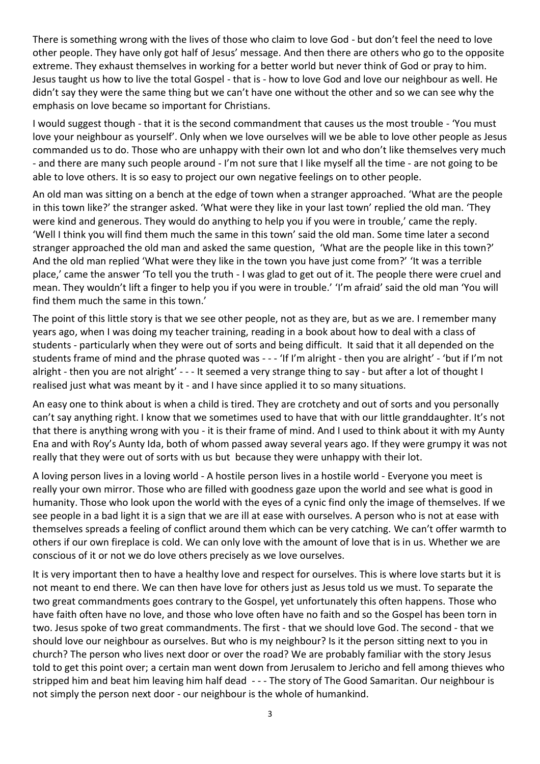There is something wrong with the lives of those who claim to love God - but don't feel the need to love other people. They have only got half of Jesus' message. And then there are others who go to the opposite extreme. They exhaust themselves in working for a better world but never think of God or pray to him. Jesus taught us how to live the total Gospel - that is - how to love God and love our neighbour as well. He didn't say they were the same thing but we can't have one without the other and so we can see why the emphasis on love became so important for Christians.

I would suggest though - that it is the second commandment that causes us the most trouble - 'You must love your neighbour as yourself'. Only when we love ourselves will we be able to love other people as Jesus commanded us to do. Those who are unhappy with their own lot and who don't like themselves very much - and there are many such people around - I'm not sure that I like myself all the time - are not going to be able to love others. It is so easy to project our own negative feelings on to other people.

An old man was sitting on a bench at the edge of town when a stranger approached. 'What are the people in this town like?' the stranger asked. 'What were they like in your last town' replied the old man. 'They were kind and generous. They would do anything to help you if you were in trouble,' came the reply. 'Well I think you will find them much the same in this town' said the old man. Some time later a second stranger approached the old man and asked the same question, 'What are the people like in this town?' And the old man replied 'What were they like in the town you have just come from?' 'It was a terrible place,' came the answer 'To tell you the truth - I was glad to get out of it. The people there were cruel and mean. They wouldn't lift a finger to help you if you were in trouble.' 'I'm afraid' said the old man 'You will find them much the same in this town.'

The point of this little story is that we see other people, not as they are, but as we are. I remember many years ago, when I was doing my teacher training, reading in a book about how to deal with a class of students - particularly when they were out of sorts and being difficult. It said that it all depended on the students frame of mind and the phrase quoted was - - - 'If I'm alright - then you are alright' - 'but if I'm not alright - then you are not alright' - - - It seemed a very strange thing to say - but after a lot of thought I realised just what was meant by it - and I have since applied it to so many situations.

An easy one to think about is when a child is tired. They are crotchety and out of sorts and you personally can't say anything right. I know that we sometimes used to have that with our little granddaughter. It's not that there is anything wrong with you - it is their frame of mind. And I used to think about it with my Aunty Ena and with Roy's Aunty Ida, both of whom passed away several years ago. If they were grumpy it was not really that they were out of sorts with us but because they were unhappy with their lot.

A loving person lives in a loving world - A hostile person lives in a hostile world - Everyone you meet is really your own mirror. Those who are filled with goodness gaze upon the world and see what is good in humanity. Those who look upon the world with the eyes of a cynic find only the image of themselves. If we see people in a bad light it is a sign that we are ill at ease with ourselves. A person who is not at ease with themselves spreads a feeling of conflict around them which can be very catching. We can't offer warmth to others if our own fireplace is cold. We can only love with the amount of love that is in us. Whether we are conscious of it or not we do love others precisely as we love ourselves.

It is very important then to have a healthy love and respect for ourselves. This is where love starts but it is not meant to end there. We can then have love for others just as Jesus told us we must. To separate the two great commandments goes contrary to the Gospel, yet unfortunately this often happens. Those who have faith often have no love, and those who love often have no faith and so the Gospel has been torn in two. Jesus spoke of two great commandments. The first - that we should love God. The second - that we should love our neighbour as ourselves. But who is my neighbour? Is it the person sitting next to you in church? The person who lives next door or over the road? We are probably familiar with the story Jesus told to get this point over; a certain man went down from Jerusalem to Jericho and fell among thieves who stripped him and beat him leaving him half dead - - - The story of The Good Samaritan. Our neighbour is not simply the person next door - our neighbour is the whole of humankind.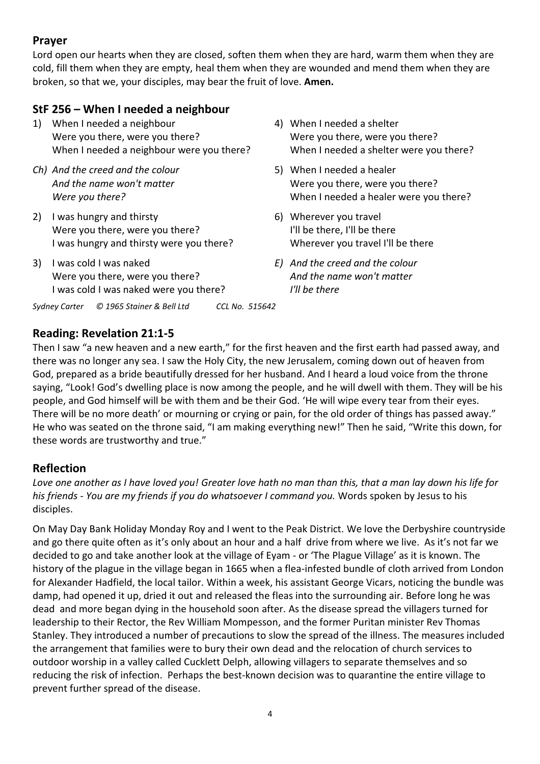## **Prayer**

Lord open our hearts when they are closed, soften them when they are hard, warm them when they are cold, fill them when they are empty, heal them when they are wounded and mend them when they are broken, so that we, your disciples, may bear the fruit of love. **Amen.**

# **StF 256 – When I needed a neighbour**

- 1) When I needed a neighbour Were you there, were you there? When I needed a neighbour were you there?
- *Ch) And the creed and the colour And the name won't matter Were you there?*
- 2) I was hungry and thirsty Were you there, were you there? I was hungry and thirsty were you there?
- 3) I was cold I was naked Were you there, were you there? I was cold I was naked were you there?
- 4) When I needed a shelter Were you there, were you there? When I needed a shelter were you there?
- 5) When I needed a healer Were you there, were you there? When I needed a healer were you there?
- 6) Wherever you travel I'll be there, I'll be there Wherever you travel I'll be there
- *E) And the creed and the colour And the name won't matter I'll be there*

*Sydney Carter © 1965 Stainer & Bell Ltd CCL No. 515642*

## **Reading: Revelation 21:1-5**

Then I saw "a new heaven and a new earth," for the first heaven and the first earth had passed away, and there was no longer any sea. I saw the Holy City, the new Jerusalem, coming down out of heaven from God, prepared as a bride beautifully dressed for her husband. And I heard a loud voice from the throne saying, "Look! God's dwelling place is now among the people, and he will dwell with them. They will be his people, and God himself will be with them and be their God. 'He will wipe every tear from their eyes. There will be no more death' or mourning or crying or pain, for the old order of things has passed away." He who was seated on the throne said, "I am making everything new!" Then he said, "Write this down, for these words are trustworthy and true."

# **Reflection**

*Love one another as I have loved you! Greater love hath no man than this, that a man lay down his life for his friends - You are my friends if you do whatsoever I command you.* Words spoken by Jesus to his disciples.

On May Day Bank Holiday Monday Roy and I went to the Peak District. We love the Derbyshire countryside and go there quite often as it's only about an hour and a half drive from where we live. As it's not far we decided to go and take another look at the village of Eyam - or 'The Plague Village' as it is known. The history of the plague in the village began in 1665 when a flea-infested bundle of cloth arrived from London for Alexander Hadfield, the local tailor. Within a week, his assistant George Vicars, noticing the bundle was damp, had opened it up, dried it out and released the fleas into the surrounding air. Before long he was dead and more began dying in the household soon after. As the disease spread the villagers turned for leadership to their Rector, the Rev William Mompesson, and the former Puritan minister Rev Thomas Stanley. They introduced a number of precautions to slow the spread of the illness. The measures included the arrangement that families were to bury their own dead and the relocation of church services to outdoor worship in a valley called Cucklett Delph, allowing villagers to separate themselves and so reducing the risk of infection. Perhaps the best-known decision was to quarantine the entire village to prevent further spread of the disease.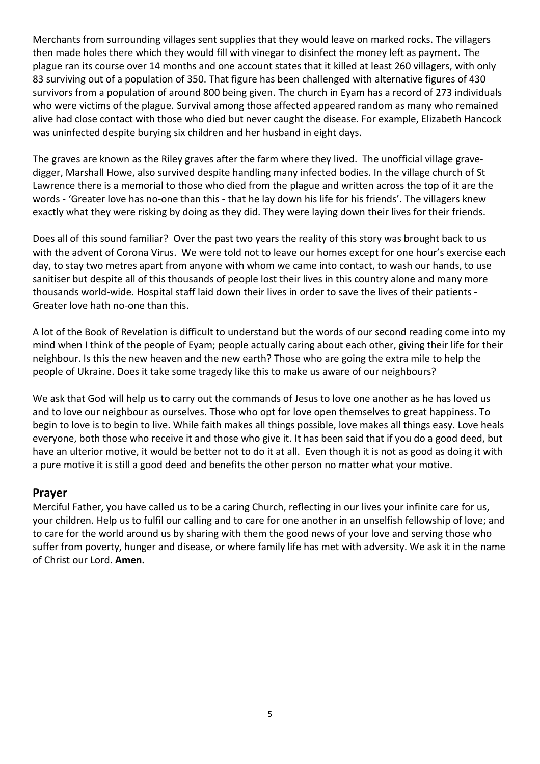Merchants from surrounding villages sent supplies that they would leave on marked rocks. The villagers then made holes there which they would fill with vinegar to disinfect the money left as payment. The plague ran its course over 14 months and one account states that it killed at least 260 villagers, with only 83 surviving out of a population of 350. That figure has been challenged with alternative figures of 430 survivors from a population of around 800 being given. The church in Eyam has a record of 273 individuals who were victims of the plague. Survival among those affected appeared random as many who remained alive had close contact with those who died but never caught the disease. For example, Elizabeth Hancock was uninfected despite burying six children and her husband in eight days.

The graves are known as the Riley graves after the farm where they lived. The unofficial village gravedigger, Marshall Howe, also survived despite handling many infected bodies. In the village church of St Lawrence there is a memorial to those who died from the plague and written across the top of it are the words - 'Greater love has no-one than this - that he lay down his life for his friends'. The villagers knew exactly what they were risking by doing as they did. They were laying down their lives for their friends.

Does all of this sound familiar? Over the past two years the reality of this story was brought back to us with the advent of Corona Virus. We were told not to leave our homes except for one hour's exercise each day, to stay two metres apart from anyone with whom we came into contact, to wash our hands, to use sanitiser but despite all of this thousands of people lost their lives in this country alone and many more thousands world-wide. Hospital staff laid down their lives in order to save the lives of their patients - Greater love hath no-one than this.

A lot of the Book of Revelation is difficult to understand but the words of our second reading come into my mind when I think of the people of Eyam; people actually caring about each other, giving their life for their neighbour. Is this the new heaven and the new earth? Those who are going the extra mile to help the people of Ukraine. Does it take some tragedy like this to make us aware of our neighbours?

We ask that God will help us to carry out the commands of Jesus to love one another as he has loved us and to love our neighbour as ourselves. Those who opt for love open themselves to great happiness. To begin to love is to begin to live. While faith makes all things possible, love makes all things easy. Love heals everyone, both those who receive it and those who give it. It has been said that if you do a good deed, but have an ulterior motive, it would be better not to do it at all. Even though it is not as good as doing it with a pure motive it is still a good deed and benefits the other person no matter what your motive.

#### **Prayer**

Merciful Father, you have called us to be a caring Church, reflecting in our lives your infinite care for us, your children. Help us to fulfil our calling and to care for one another in an unselfish fellowship of love; and to care for the world around us by sharing with them the good news of your love and serving those who suffer from poverty, hunger and disease, or where family life has met with adversity. We ask it in the name of Christ our Lord. **Amen.**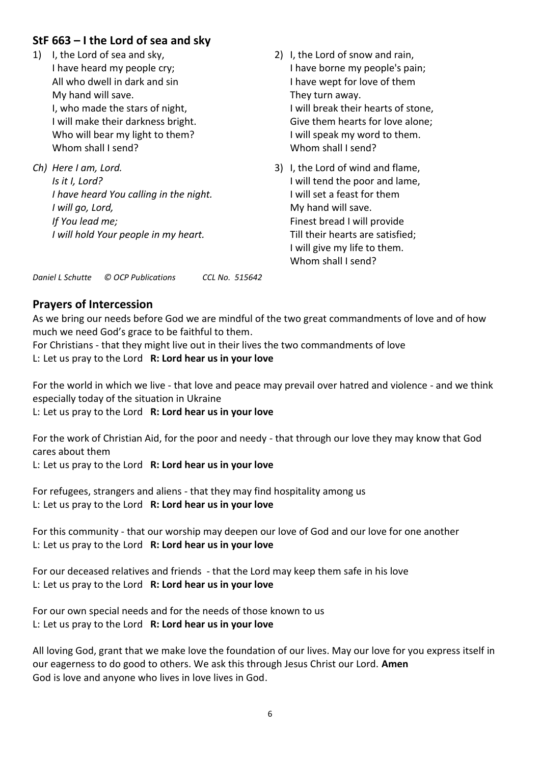## **StF 663 – I the Lord of sea and sky**

1) I, the Lord of sea and sky, I have heard my people cry; All who dwell in dark and sin My hand will save. I, who made the stars of night, I will make their darkness bright. Who will bear my light to them? Whom shall I send?

*Ch) Here I am, Lord. Is it I, Lord? I have heard You calling in the night. I will go, Lord, If You lead me; I will hold Your people in my heart.*

*Daniel L Schutte © OCP Publications CCL No. 515642*

#### 2) I, the Lord of snow and rain, I have borne my people's pain; I have wept for love of them They turn away. I will break their hearts of stone, Give them hearts for love alone; I will speak my word to them. Whom shall I send?

3) I, the Lord of wind and flame, I will tend the poor and lame, I will set a feast for them My hand will save. Finest bread I will provide Till their hearts are satisfied; I will give my life to them. Whom shall I send?

### **Prayers of Intercession**

As we bring our needs before God we are mindful of the two great commandments of love and of how much we need God's grace to be faithful to them.

For Christians - that they might live out in their lives the two commandments of love L: Let us pray to the Lord **R: Lord hear us in your love**

For the world in which we live - that love and peace may prevail over hatred and violence - and we think especially today of the situation in Ukraine

L: Let us pray to the Lord **R: Lord hear us in your love**

For the work of Christian Aid, for the poor and needy - that through our love they may know that God cares about them

L: Let us pray to the Lord **R: Lord hear us in your love**

For refugees, strangers and aliens - that they may find hospitality among us L: Let us pray to the Lord **R: Lord hear us in your love**

For this community - that our worship may deepen our love of God and our love for one another L: Let us pray to the Lord **R: Lord hear us in your love**

For our deceased relatives and friends - that the Lord may keep them safe in his love L: Let us pray to the Lord **R: Lord hear us in your love**

For our own special needs and for the needs of those known to us L: Let us pray to the Lord **R: Lord hear us in your love**

All loving God, grant that we make love the foundation of our lives. May our love for you express itself in our eagerness to do good to others. We ask this through Jesus Christ our Lord. **Amen** God is love and anyone who lives in love lives in God.